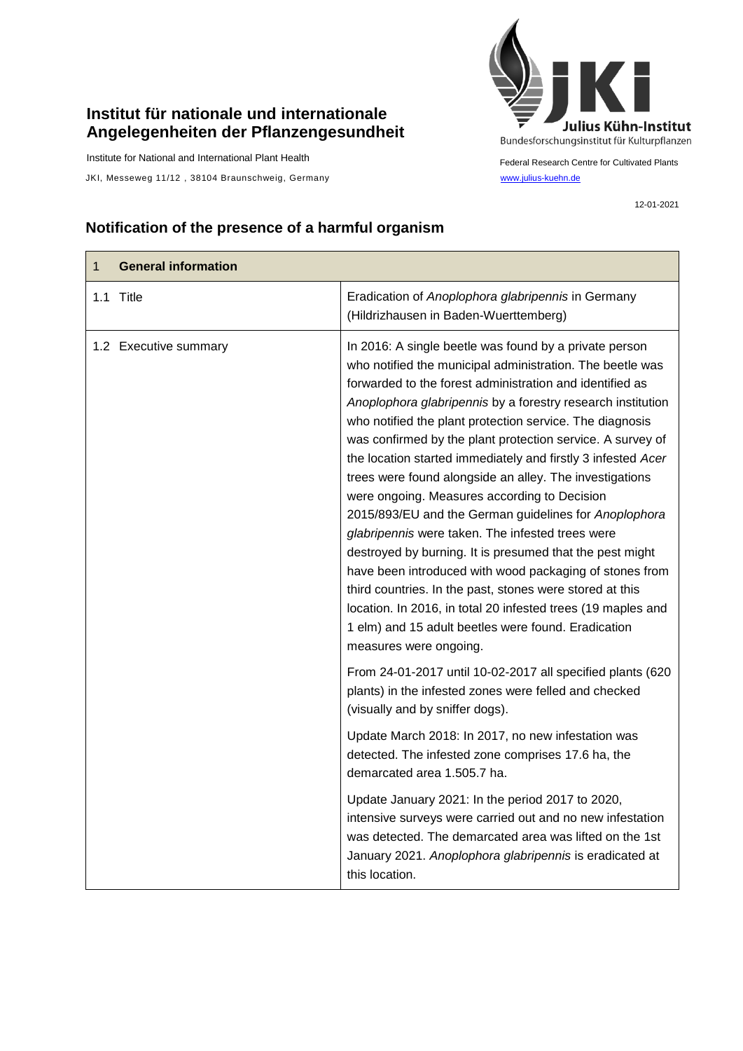## **Institut für nationale und internationale Angelegenheiten der Pflanzengesundheit**

Institute for National and International Plant Health

JKI, Messeweg 11/12, 38104 Braunschweig, Germany [www.julius-kuehn.de](http://www.julius-kuehn.de/)



Federal Research Centre for Cultivated Plants

12-01-2021

## **Notification of the presence of a harmful organism**

| $\mathbf{1}$ | <b>General information</b> |                                                                                                                                                                                                                                                                                                                                                                                                                                                                                                                                                                                                                                                                                                                                                                                                                                                                                                                                                                                                      |
|--------------|----------------------------|------------------------------------------------------------------------------------------------------------------------------------------------------------------------------------------------------------------------------------------------------------------------------------------------------------------------------------------------------------------------------------------------------------------------------------------------------------------------------------------------------------------------------------------------------------------------------------------------------------------------------------------------------------------------------------------------------------------------------------------------------------------------------------------------------------------------------------------------------------------------------------------------------------------------------------------------------------------------------------------------------|
|              | 1.1 Title                  | Eradication of Anoplophora glabripennis in Germany<br>(Hildrizhausen in Baden-Wuerttemberg)                                                                                                                                                                                                                                                                                                                                                                                                                                                                                                                                                                                                                                                                                                                                                                                                                                                                                                          |
|              | 1.2 Executive summary      | In 2016: A single beetle was found by a private person<br>who notified the municipal administration. The beetle was<br>forwarded to the forest administration and identified as<br>Anoplophora glabripennis by a forestry research institution<br>who notified the plant protection service. The diagnosis<br>was confirmed by the plant protection service. A survey of<br>the location started immediately and firstly 3 infested Acer<br>trees were found alongside an alley. The investigations<br>were ongoing. Measures according to Decision<br>2015/893/EU and the German guidelines for Anoplophora<br>glabripennis were taken. The infested trees were<br>destroyed by burning. It is presumed that the pest might<br>have been introduced with wood packaging of stones from<br>third countries. In the past, stones were stored at this<br>location. In 2016, in total 20 infested trees (19 maples and<br>1 elm) and 15 adult beetles were found. Eradication<br>measures were ongoing. |
|              |                            | From 24-01-2017 until 10-02-2017 all specified plants (620<br>plants) in the infested zones were felled and checked<br>(visually and by sniffer dogs).                                                                                                                                                                                                                                                                                                                                                                                                                                                                                                                                                                                                                                                                                                                                                                                                                                               |
|              |                            | Update March 2018: In 2017, no new infestation was<br>detected. The infested zone comprises 17.6 ha, the<br>demarcated area 1.505.7 ha.                                                                                                                                                                                                                                                                                                                                                                                                                                                                                                                                                                                                                                                                                                                                                                                                                                                              |
|              |                            | Update January 2021: In the period 2017 to 2020,<br>intensive surveys were carried out and no new infestation<br>was detected. The demarcated area was lifted on the 1st<br>January 2021. Anoplophora glabripennis is eradicated at<br>this location.                                                                                                                                                                                                                                                                                                                                                                                                                                                                                                                                                                                                                                                                                                                                                |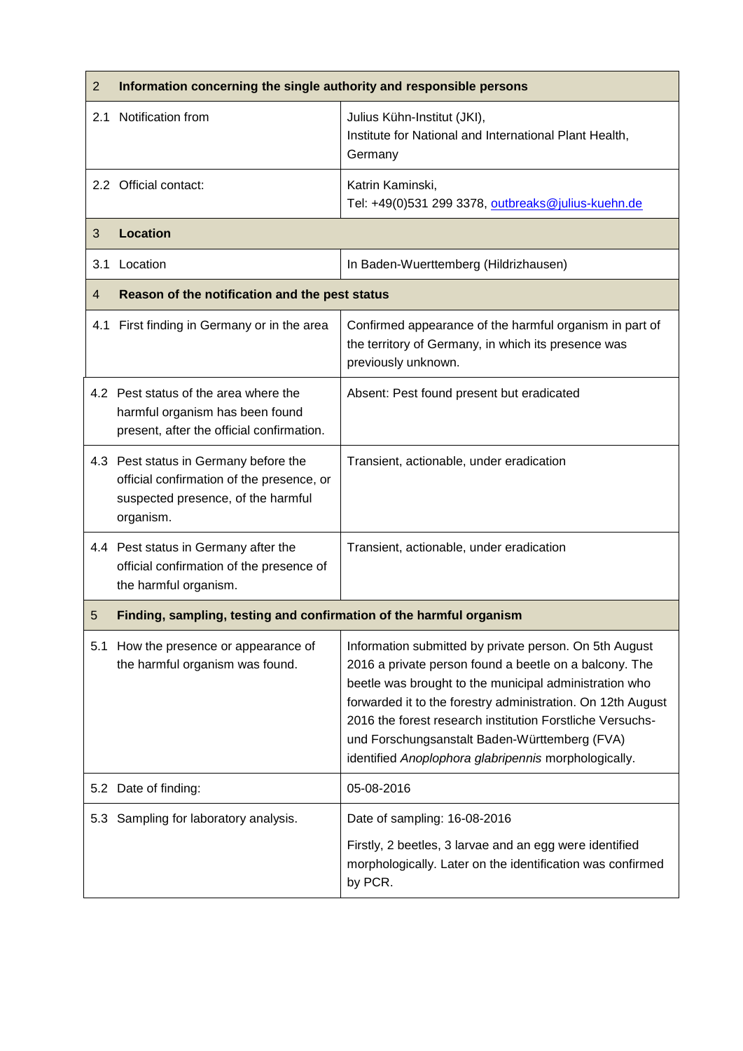| $\overline{2}$ | Information concerning the single authority and responsible persons                                                                   |                                                                                                                                                                                                                                                                                                                                                                                                                 |  |
|----------------|---------------------------------------------------------------------------------------------------------------------------------------|-----------------------------------------------------------------------------------------------------------------------------------------------------------------------------------------------------------------------------------------------------------------------------------------------------------------------------------------------------------------------------------------------------------------|--|
| 2.1            | Notification from                                                                                                                     | Julius Kühn-Institut (JKI),<br>Institute for National and International Plant Health,<br>Germany                                                                                                                                                                                                                                                                                                                |  |
|                | 2.2 Official contact:                                                                                                                 | Katrin Kaminski,<br>Tel: +49(0)531 299 3378, outbreaks@julius-kuehn.de                                                                                                                                                                                                                                                                                                                                          |  |
| 3              | <b>Location</b>                                                                                                                       |                                                                                                                                                                                                                                                                                                                                                                                                                 |  |
| 3.1            | Location                                                                                                                              | In Baden-Wuerttemberg (Hildrizhausen)                                                                                                                                                                                                                                                                                                                                                                           |  |
| 4              | Reason of the notification and the pest status                                                                                        |                                                                                                                                                                                                                                                                                                                                                                                                                 |  |
|                | 4.1 First finding in Germany or in the area                                                                                           | Confirmed appearance of the harmful organism in part of<br>the territory of Germany, in which its presence was<br>previously unknown.                                                                                                                                                                                                                                                                           |  |
|                | 4.2 Pest status of the area where the<br>harmful organism has been found<br>present, after the official confirmation.                 | Absent: Pest found present but eradicated                                                                                                                                                                                                                                                                                                                                                                       |  |
|                | 4.3 Pest status in Germany before the<br>official confirmation of the presence, or<br>suspected presence, of the harmful<br>organism. | Transient, actionable, under eradication                                                                                                                                                                                                                                                                                                                                                                        |  |
|                | 4.4 Pest status in Germany after the<br>official confirmation of the presence of<br>the harmful organism.                             | Transient, actionable, under eradication                                                                                                                                                                                                                                                                                                                                                                        |  |
| 5              | Finding, sampling, testing and confirmation of the harmful organism                                                                   |                                                                                                                                                                                                                                                                                                                                                                                                                 |  |
|                | 5.1 How the presence or appearance of<br>the harmful organism was found.                                                              | Information submitted by private person. On 5th August<br>2016 a private person found a beetle on a balcony. The<br>beetle was brought to the municipal administration who<br>forwarded it to the forestry administration. On 12th August<br>2016 the forest research institution Forstliche Versuchs-<br>und Forschungsanstalt Baden-Württemberg (FVA)<br>identified Anoplophora glabripennis morphologically. |  |
|                | 5.2 Date of finding:                                                                                                                  | 05-08-2016                                                                                                                                                                                                                                                                                                                                                                                                      |  |
|                | 5.3 Sampling for laboratory analysis.                                                                                                 | Date of sampling: 16-08-2016<br>Firstly, 2 beetles, 3 larvae and an egg were identified<br>morphologically. Later on the identification was confirmed<br>by PCR.                                                                                                                                                                                                                                                |  |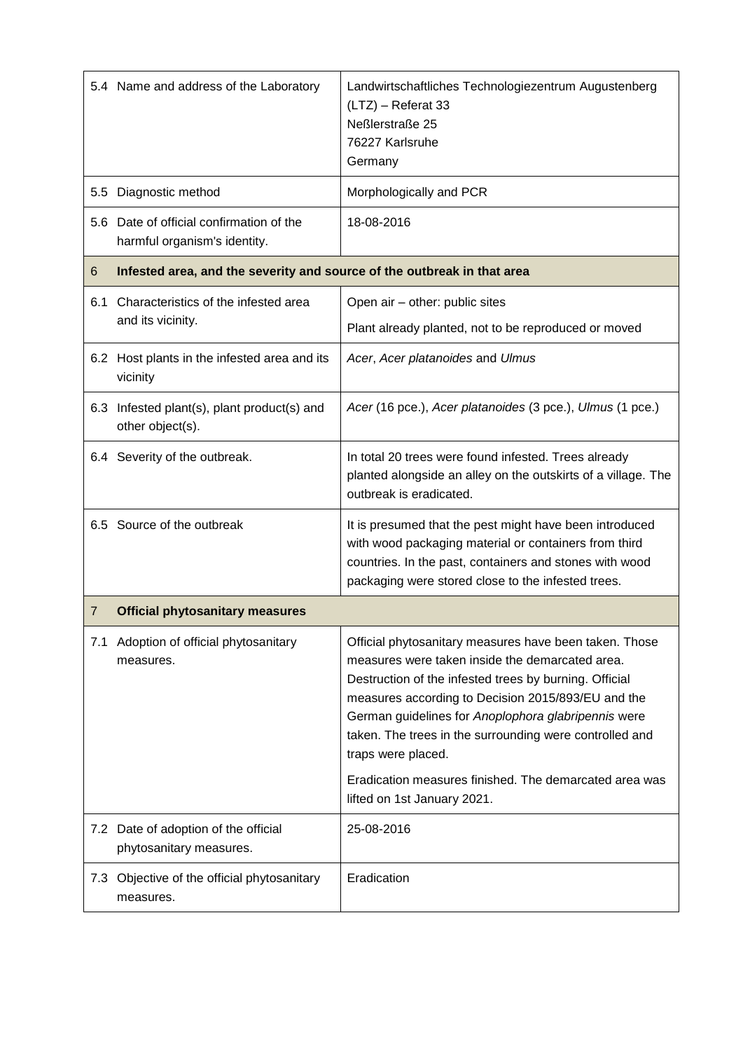|                | 5.4 Name and address of the Laboratory                                   | Landwirtschaftliches Technologiezentrum Augustenberg<br>(LTZ) - Referat 33<br>Neßlerstraße 25<br>76227 Karlsruhe<br>Germany                                                                                                                                                                                                                                                                                                                                |  |
|----------------|--------------------------------------------------------------------------|------------------------------------------------------------------------------------------------------------------------------------------------------------------------------------------------------------------------------------------------------------------------------------------------------------------------------------------------------------------------------------------------------------------------------------------------------------|--|
| 5.5            | Diagnostic method                                                        | Morphologically and PCR                                                                                                                                                                                                                                                                                                                                                                                                                                    |  |
|                | 5.6 Date of official confirmation of the<br>harmful organism's identity. | 18-08-2016                                                                                                                                                                                                                                                                                                                                                                                                                                                 |  |
| 6              | Infested area, and the severity and source of the outbreak in that area  |                                                                                                                                                                                                                                                                                                                                                                                                                                                            |  |
| 6.1            | Characteristics of the infested area<br>and its vicinity.                | Open air - other: public sites                                                                                                                                                                                                                                                                                                                                                                                                                             |  |
|                |                                                                          | Plant already planted, not to be reproduced or moved                                                                                                                                                                                                                                                                                                                                                                                                       |  |
|                | 6.2 Host plants in the infested area and its<br>vicinity                 | Acer, Acer platanoides and Ulmus                                                                                                                                                                                                                                                                                                                                                                                                                           |  |
| 6.3            | Infested plant(s), plant product(s) and<br>other object(s).              | Acer (16 pce.), Acer platanoides (3 pce.), Ulmus (1 pce.)                                                                                                                                                                                                                                                                                                                                                                                                  |  |
|                | 6.4 Severity of the outbreak.                                            | In total 20 trees were found infested. Trees already<br>planted alongside an alley on the outskirts of a village. The<br>outbreak is eradicated.                                                                                                                                                                                                                                                                                                           |  |
|                | 6.5 Source of the outbreak                                               | It is presumed that the pest might have been introduced<br>with wood packaging material or containers from third<br>countries. In the past, containers and stones with wood<br>packaging were stored close to the infested trees.                                                                                                                                                                                                                          |  |
| $\overline{7}$ | <b>Official phytosanitary measures</b>                                   |                                                                                                                                                                                                                                                                                                                                                                                                                                                            |  |
| 7.1            | Adoption of official phytosanitary<br>measures.                          | Official phytosanitary measures have been taken. Those<br>measures were taken inside the demarcated area.<br>Destruction of the infested trees by burning. Official<br>measures according to Decision 2015/893/EU and the<br>German guidelines for Anoplophora glabripennis were<br>taken. The trees in the surrounding were controlled and<br>traps were placed.<br>Eradication measures finished. The demarcated area was<br>lifted on 1st January 2021. |  |
|                |                                                                          |                                                                                                                                                                                                                                                                                                                                                                                                                                                            |  |
|                | 7.2 Date of adoption of the official<br>phytosanitary measures.          | 25-08-2016                                                                                                                                                                                                                                                                                                                                                                                                                                                 |  |
| 7.3            | Objective of the official phytosanitary<br>measures.                     | Eradication                                                                                                                                                                                                                                                                                                                                                                                                                                                |  |